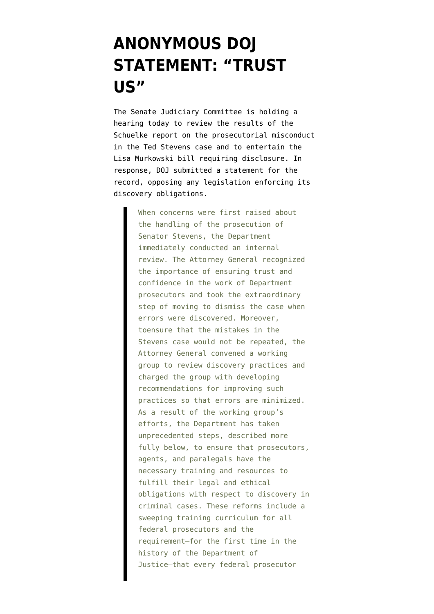## **[ANONYMOUS DOJ](https://www.emptywheel.net/2012/03/28/anonymous-doj-statement-trust-us/) [STATEMENT: "TRUST](https://www.emptywheel.net/2012/03/28/anonymous-doj-statement-trust-us/) [US"](https://www.emptywheel.net/2012/03/28/anonymous-doj-statement-trust-us/)**

The Senate Judiciary Committee is holding a hearing today to review the results of the [Schuelke report](http://www.emptywheel.net/wp-content/uploads/2012/03/stevens_report.pdf) on the prosecutorial misconduct in the Ted Stevens case and to entertain the [Lisa Murkowski bill](http://online.wsj.com/article/SB10001424052702304177104577307791157220820.html?mod=googlenews_wsj) requiring disclosure. In response, DOJ submitted a [statement for the](http://www.emptywheel.net/wp-content/uploads/2012/03/120328-SFR-Schuelke-Report.pdf) [record](http://www.emptywheel.net/wp-content/uploads/2012/03/120328-SFR-Schuelke-Report.pdf), opposing any legislation enforcing its discovery obligations.

> When concerns were first raised about the handling of the prosecution of Senator Stevens, the Department immediately conducted an internal review. The Attorney General recognized the importance of ensuring trust and confidence in the work of Department prosecutors and took the extraordinary step of moving to dismiss the case when errors were discovered. Moreover, toensure that the mistakes in the Stevens case would not be repeated, the Attorney General convened a working group to review discovery practices and charged the group with developing recommendations for improving such practices so that errors are minimized. As a result of the working group's efforts, the Department has taken unprecedented steps, described more fully below, to ensure that prosecutors, agents, and paralegals have the necessary training and resources to fulfill their legal and ethical obligations with respect to discovery in criminal cases. These reforms include a sweeping training curriculum for all federal prosecutors and the requirement–for the first time in the history of the Department of Justice–that every federal prosecutor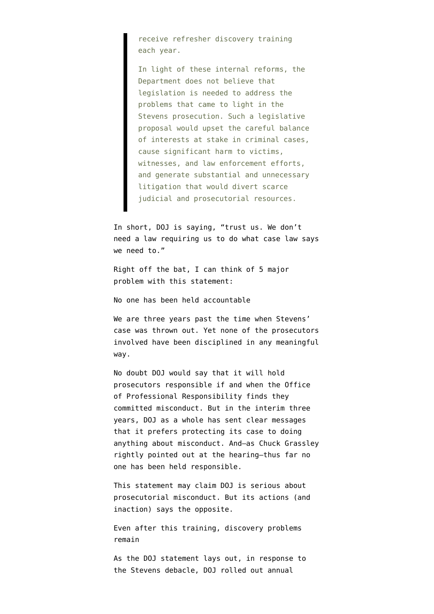receive refresher discovery training each year.

In light of these internal reforms, the Department does not believe that legislation is needed to address the problems that came to light in the Stevens prosecution. Such a legislative proposal would upset the careful balance of interests at stake in criminal cases, cause significant harm to victims, witnesses, and law enforcement efforts, and generate substantial and unnecessary litigation that would divert scarce judicial and prosecutorial resources.

In short, DOJ is saying, "trust us. We don't need a law requiring us to do what case law says we need to."

Right off the bat, I can think of 5 major problem with this statement:

No one has been held accountable

We are three years past the time when Stevens' case was thrown out. Yet none of the prosecutors involved have been disciplined in any meaningful way.

No doubt DOJ would say that it will hold prosecutors responsible if and when the Office of Professional Responsibility finds they committed misconduct. But in the interim three years, DOJ as a whole has [sent clear messages](http://www.emptywheel.net/2011/12/13/lanny-breuer-rewards-doj-lawyers-for-winning-impunity-for-prosecutorial-misconduct/) that it prefers protecting its case to doing anything about misconduct. And–as Chuck Grassley rightly pointed out at the hearing–thus far no one has been held responsible.

This statement may claim DOJ is serious about prosecutorial misconduct. But its actions (and inaction) says the opposite.

Even after this training, discovery problems remain

As the DOJ statement lays out, in response to the Stevens debacle, DOJ rolled out annual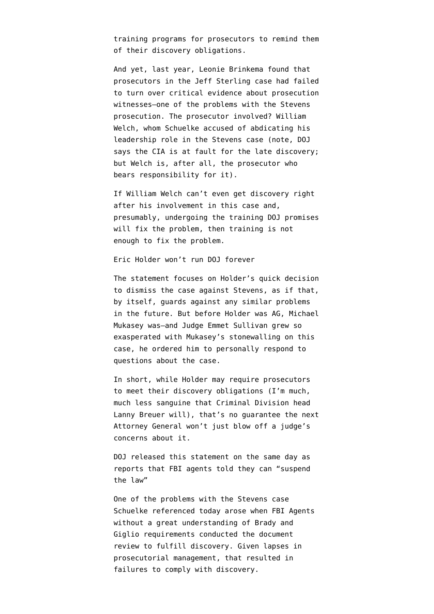training programs for prosecutors to remind them of their discovery obligations.

And yet, last year, Leonie Brinkema found that prosecutors in the Jeff Sterling case had [failed](http://www.emptywheel.net/2011/11/10/william-welch-appears-to-commit-prosecutorial-misconduct-again/) [to turn over](http://www.emptywheel.net/2011/11/10/william-welch-appears-to-commit-prosecutorial-misconduct-again/) critical evidence about prosecution witnesses–one of the problems with the Stevens prosecution. The prosecutor involved? William Welch, whom Schuelke accused of abdicating his leadership role in the Stevens case (note, DOJ says the CIA is at fault for the late discovery; but Welch is, after all, the prosecutor who bears responsibility for it).

If William Welch can't even get discovery right after his involvement in this case and, presumably, undergoing the training DOJ promises will fix the problem, then training is not enough to fix the problem.

Eric Holder won't run DOJ forever

The statement focuses on Holder's quick decision to dismiss the case against Stevens, as if that, by itself, guards against any similar problems in the future. But before Holder was AG, Michael Mukasey was–and Judge Emmet Sullivan grew so exasperated with Mukasey's stonewalling on this case, he [ordered him](http://legaltimes.typepad.com/blt/2009/01/federal-judge-orders-mukasey-to-respond-to-inquiry-in-stevens-case.html) to personally respond to questions about the case.

In short, while Holder may require prosecutors to meet their discovery obligations (I'm much, much less sanguine that Criminal Division head Lanny Breuer will), that's no guarantee the next Attorney General won't just blow off a judge's concerns about it.

DOJ released this statement on the same day as reports that FBI agents told they can "suspend the law"

One of the problems with the Stevens case Schuelke referenced today arose when FBI Agents without a great understanding of Brady and Giglio requirements conducted the document review to fulfill discovery. Given lapses in prosecutorial management, that resulted in failures to comply with discovery.